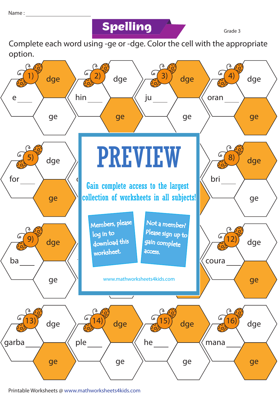## **Spelling Grade 3**

Complete each word using -ge or -dge. Color the cell with the appropriate option.



Printable Worksheets @ www.mathworksheets4kids.com